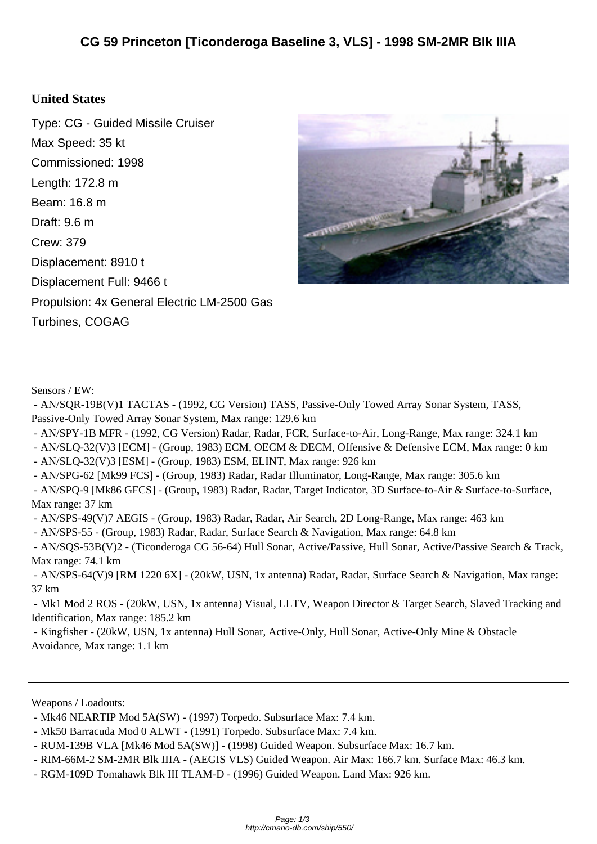## **United S[tates](http://cmano-db.com/ship/550/)**

Type: CG - Guided Missile Cruiser Max Speed: 35 kt Commissioned: 1998 Length: 172.8 m Beam: 16.8 m Draft: 9.6 m Crew: 379 Displacement: 8910 t Displacement Full: 9466 t Propulsion: 4x General Electric LM-2500 Gas Turbines, COGAG



Sensors / EW:

 - AN/SQR-19B(V)1 TACTAS - (1992, CG Version) TASS, Passive-Only Towed Array Sonar System, TASS, Passive-Only Towed Array Sonar System, Max range: 129.6 km

- AN/SPY-1B MFR - (1992, CG Version) Radar, Radar, FCR, Surface-to-Air, Long-Range, Max range: 324.1 km

- AN/SLQ-32(V)3 [ECM] - (Group, 1983) ECM, OECM & DECM, Offensive & Defensive ECM, Max range: 0 km

- AN/SLQ-32(V)3 [ESM] - (Group, 1983) ESM, ELINT, Max range: 926 km

- AN/SPG-62 [Mk99 FCS] (Group, 1983) Radar, Radar Illuminator, Long-Range, Max range: 305.6 km
- AN/SPQ-9 [Mk86 GFCS] (Group, 1983) Radar, Radar, Target Indicator, 3D Surface-to-Air & Surface-to-Surface, Max range: 37 km

- AN/SPS-49(V)7 AEGIS - (Group, 1983) Radar, Radar, Air Search, 2D Long-Range, Max range: 463 km

- AN/SPS-55 - (Group, 1983) Radar, Radar, Surface Search & Navigation, Max range: 64.8 km

 - AN/SQS-53B(V)2 - (Ticonderoga CG 56-64) Hull Sonar, Active/Passive, Hull Sonar, Active/Passive Search & Track, Max range: 74.1 km

 - AN/SPS-64(V)9 [RM 1220 6X] - (20kW, USN, 1x antenna) Radar, Radar, Surface Search & Navigation, Max range: 37 km

 - Mk1 Mod 2 ROS - (20kW, USN, 1x antenna) Visual, LLTV, Weapon Director & Target Search, Slaved Tracking and Identification, Max range: 185.2 km

 - Kingfisher - (20kW, USN, 1x antenna) Hull Sonar, Active-Only, Hull Sonar, Active-Only Mine & Obstacle Avoidance, Max range: 1.1 km

Weapons / Loadouts:

 <sup>-</sup> Mk46 NEARTIP Mod 5A(SW) - (1997) Torpedo. Subsurface Max: 7.4 km.

 <sup>-</sup> Mk50 Barracuda Mod 0 ALWT - (1991) Torpedo. Subsurface Max: 7.4 km.

 <sup>-</sup> RUM-139B VLA [Mk46 Mod 5A(SW)] - (1998) Guided Weapon. Subsurface Max: 16.7 km.

 <sup>-</sup> RIM-66M-2 SM-2MR Blk IIIA - (AEGIS VLS) Guided Weapon. Air Max: 166.7 km. Surface Max: 46.3 km.

 <sup>-</sup> RGM-109D Tomahawk Blk III TLAM-D - (1996) Guided Weapon. Land Max: 926 km.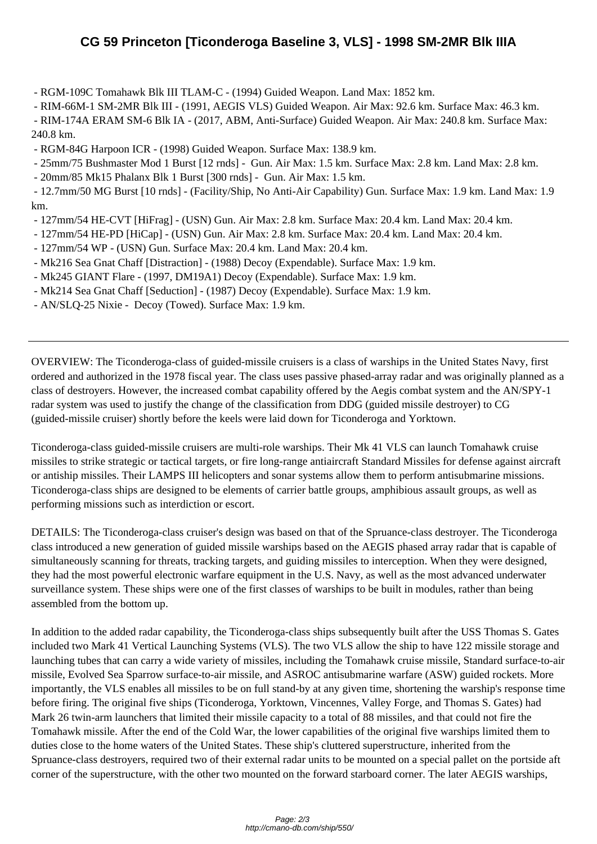- RGM-1[09C Tomahawk Blk III TLAM-C - \(1994\) Guided Weapon. Land Max: 1852 km.](http://cmano-db.com/ship/550/) 

- RIM-66M-1 SM-2MR Blk III (1991, AEGIS VLS) Guided Weapon. Air Max: 92.6 km. Surface Max: 46.3 km.
- RIM-174A ERAM SM-6 Blk IA (2017, ABM, Anti-Surface) Guided Weapon. Air Max: 240.8 km. Surface Max: 240.8 km.
- RGM-84G Harpoon ICR (1998) Guided Weapon. Surface Max: 138.9 km.
- 25mm/75 Bushmaster Mod 1 Burst [12 rnds] Gun. Air Max: 1.5 km. Surface Max: 2.8 km. Land Max: 2.8 km.
- 20mm/85 Mk15 Phalanx Blk 1 Burst [300 rnds] Gun. Air Max: 1.5 km.

 - 12.7mm/50 MG Burst [10 rnds] - (Facility/Ship, No Anti-Air Capability) Gun. Surface Max: 1.9 km. Land Max: 1.9 km.

- 127mm/54 HE-CVT [HiFrag] (USN) Gun. Air Max: 2.8 km. Surface Max: 20.4 km. Land Max: 20.4 km.
- 127mm/54 HE-PD [HiCap] (USN) Gun. Air Max: 2.8 km. Surface Max: 20.4 km. Land Max: 20.4 km.
- 127mm/54 WP (USN) Gun. Surface Max: 20.4 km. Land Max: 20.4 km.
- Mk216 Sea Gnat Chaff [Distraction] (1988) Decoy (Expendable). Surface Max: 1.9 km.
- Mk245 GIANT Flare (1997, DM19A1) Decoy (Expendable). Surface Max: 1.9 km.
- Mk214 Sea Gnat Chaff [Seduction] (1987) Decoy (Expendable). Surface Max: 1.9 km.
- AN/SLQ-25 Nixie Decoy (Towed). Surface Max: 1.9 km.

OVERVIEW: The Ticonderoga-class of guided-missile cruisers is a class of warships in the United States Navy, first ordered and authorized in the 1978 fiscal year. The class uses passive phased-array radar and was originally planned as a class of destroyers. However, the increased combat capability offered by the Aegis combat system and the AN/SPY-1 radar system was used to justify the change of the classification from DDG (guided missile destroyer) to CG (guided-missile cruiser) shortly before the keels were laid down for Ticonderoga and Yorktown.

Ticonderoga-class guided-missile cruisers are multi-role warships. Their Mk 41 VLS can launch Tomahawk cruise missiles to strike strategic or tactical targets, or fire long-range antiaircraft Standard Missiles for defense against aircraft or antiship missiles. Their LAMPS III helicopters and sonar systems allow them to perform antisubmarine missions. Ticonderoga-class ships are designed to be elements of carrier battle groups, amphibious assault groups, as well as performing missions such as interdiction or escort.

DETAILS: The Ticonderoga-class cruiser's design was based on that of the Spruance-class destroyer. The Ticonderoga class introduced a new generation of guided missile warships based on the AEGIS phased array radar that is capable of simultaneously scanning for threats, tracking targets, and guiding missiles to interception. When they were designed, they had the most powerful electronic warfare equipment in the U.S. Navy, as well as the most advanced underwater surveillance system. These ships were one of the first classes of warships to be built in modules, rather than being assembled from the bottom up.

In addition to the added radar capability, the Ticonderoga-class ships subsequently built after the USS Thomas S. Gates included two Mark 41 Vertical Launching Systems (VLS). The two VLS allow the ship to have 122 missile storage and launching tubes that can carry a wide variety of missiles, including the Tomahawk cruise missile, Standard surface-to-air missile, Evolved Sea Sparrow surface-to-air missile, and ASROC antisubmarine warfare (ASW) guided rockets. More importantly, the VLS enables all missiles to be on full stand-by at any given time, shortening the warship's response time before firing. The original five ships (Ticonderoga, Yorktown, Vincennes, Valley Forge, and Thomas S. Gates) had Mark 26 twin-arm launchers that limited their missile capacity to a total of 88 missiles, and that could not fire the Tomahawk missile. After the end of the Cold War, the lower capabilities of the original five warships limited them to duties close to the home waters of the United States. These ship's cluttered superstructure, inherited from the Spruance-class destroyers, required two of their external radar units to be mounted on a special pallet on the portside aft corner of the superstructure, with the other two mounted on the forward starboard corner. The later AEGIS warships,